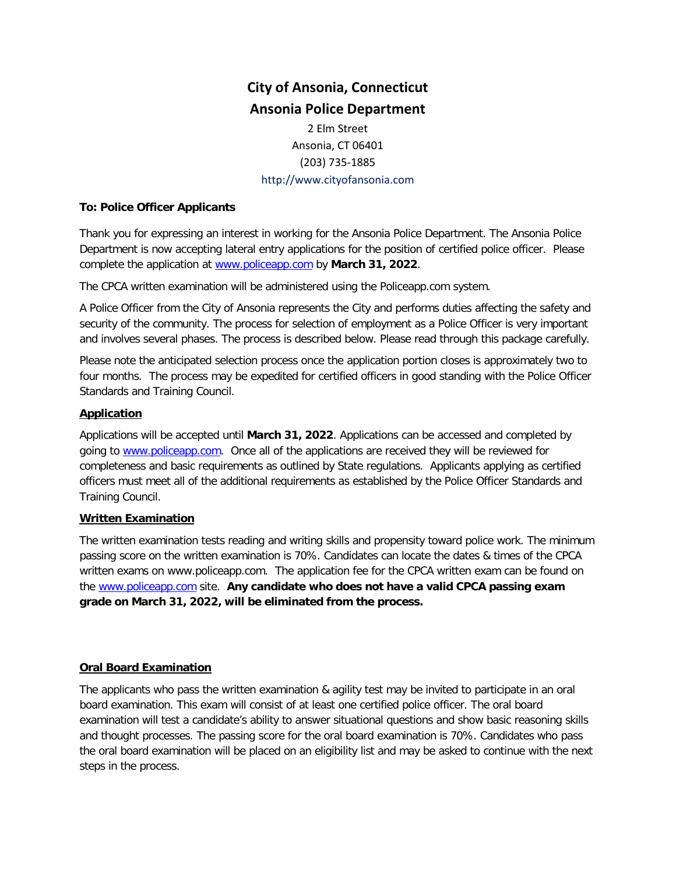# **City of Ansonia, Connecticut Ansonia Police Department**

2 Elm Street Ansonia, CT 06401 (203) 735-1885 http://www.cityofansonia.com

## **To: Police Officer Applicants**

Thank you for expressing an interest in working for the Ansonia Police Department. The Ansonia Police Department is now accepting lateral entry applications for the position of certified police officer. Please complete the application at [www.policeapp.com](http://www.policeapp.com/) by **March 31, 2022**.

The CPCA written examination will be administered using the Policeapp.com system.

A Police Officer from the City of Ansonia represents the City and performs duties affecting the safety and security of the community. The process for selection of employment as a Police Officer is very important and involves several phases. The process is described below. Please read through this package carefully.

Please note the anticipated selection process once the application portion closes is approximately two to four months. The process may be expedited for certified officers in good standing with the Police Officer Standards and Training Council.

# **Application**

Applications will be accepted until **March 31, 2022**. Applications can be accessed and completed by going to [www.policeapp.com.](http://www.policeapp.com/) Once all of the applications are received they will be reviewed for completeness and basic requirements as outlined by State regulations. Applicants applying as certified officers must meet all of the additional requirements as established by the Police Officer Standards and Training Council.

# **Written Examination**

The written examination tests reading and writing skills and propensity toward police work. The minimum passing score on the written examination is 70%. Candidates can locate the dates & times of the CPCA written exams on www.policeapp.com. The application fee for the CPCA written exam can be found on the [www.policeapp.com](http://www.policeapp.com/) site. **Any candidate who does not have a valid CPCA passing exam grade on March 31, 2022, will be eliminated from the process.**

#### **Oral Board Examination**

The applicants who pass the written examination & agility test may be invited to participate in an oral board examination. This exam will consist of at least one certified police officer. The oral board examination will test a candidate's ability to answer situational questions and show basic reasoning skills and thought processes. The passing score for the oral board examination is 70%. Candidates who pass the oral board examination will be placed on an eligibility list and may be asked to continue with the next steps in the process.